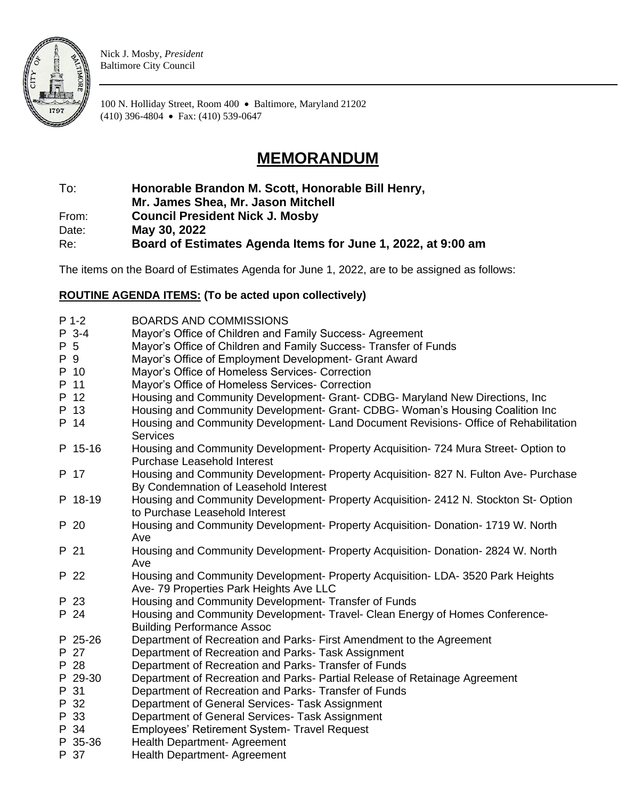

Nick J. Mosby, *President* Baltimore City Council

100 N. Holliday Street, Room 400 • Baltimore, Maryland 21202 (410) 396-4804 • Fax: (410) 539-0647

## **MEMORANDUM**

To: **Honorable Brandon M. Scott, Honorable Bill Henry,** 

**Mr. James Shea, Mr. Jason Mitchell**

From: **Council President Nick J. Mosby**

Date: **May 30, 2022**

Re: **Board of Estimates Agenda Items for June 1, 2022, at 9:00 am**

The items on the Board of Estimates Agenda for June 1, 2022, are to be assigned as follows:

## **ROUTINE AGENDA ITEMS: (To be acted upon collectively)**

|     | $P$ 1-2 | <b>BOARDS AND COMMISSIONS</b>                                                                                                |
|-----|---------|------------------------------------------------------------------------------------------------------------------------------|
|     | P 3-4   | Mayor's Office of Children and Family Success- Agreement                                                                     |
| P 5 |         | Mayor's Office of Children and Family Success- Transfer of Funds                                                             |
| P 9 |         | Mayor's Office of Employment Development- Grant Award                                                                        |
|     | P 10    | Mayor's Office of Homeless Services- Correction                                                                              |
|     | P 11    | Mayor's Office of Homeless Services- Correction                                                                              |
|     | P 12    | Housing and Community Development- Grant- CDBG- Maryland New Directions, Inc                                                 |
|     | P 13    | Housing and Community Development- Grant- CDBG- Woman's Housing Coalition Inc                                                |
|     | P 14    | Housing and Community Development- Land Document Revisions- Office of Rehabilitation<br><b>Services</b>                      |
|     | P 15-16 | Housing and Community Development- Property Acquisition- 724 Mura Street- Option to<br>Purchase Leasehold Interest           |
|     | P 17    | Housing and Community Development- Property Acquisition-827 N. Fulton Ave- Purchase<br>By Condemnation of Leasehold Interest |
|     | P 18-19 | Housing and Community Development- Property Acquisition- 2412 N. Stockton St- Option                                         |
|     |         | to Purchase Leasehold Interest                                                                                               |
|     | P 20    | Housing and Community Development- Property Acquisition- Donation- 1719 W. North                                             |
|     |         | Ave                                                                                                                          |
|     | P 21    | Housing and Community Development- Property Acquisition- Donation- 2824 W. North<br>Ave                                      |
|     | P 22    | Housing and Community Development- Property Acquisition- LDA- 3520 Park Heights<br>Ave- 79 Properties Park Heights Ave LLC   |
|     | P 23    | Housing and Community Development- Transfer of Funds                                                                         |
|     | P 24    | Housing and Community Development- Travel- Clean Energy of Homes Conference-<br><b>Building Performance Assoc</b>            |
|     | P 25-26 | Department of Recreation and Parks- First Amendment to the Agreement                                                         |
|     | P 27    | Department of Recreation and Parks- Task Assignment                                                                          |
|     | P 28    | Department of Recreation and Parks- Transfer of Funds                                                                        |
|     | P 29-30 | Department of Recreation and Parks- Partial Release of Retainage Agreement                                                   |
|     | P 31    | Department of Recreation and Parks- Transfer of Funds                                                                        |
|     | P 32    | Department of General Services- Task Assignment                                                                              |
|     | P 33    | Department of General Services- Task Assignment                                                                              |
|     | P 34    | Employees' Retirement System- Travel Request                                                                                 |
|     | P 35-36 | <b>Health Department-Agreement</b>                                                                                           |
|     | P 37    | <b>Health Department- Agreement</b>                                                                                          |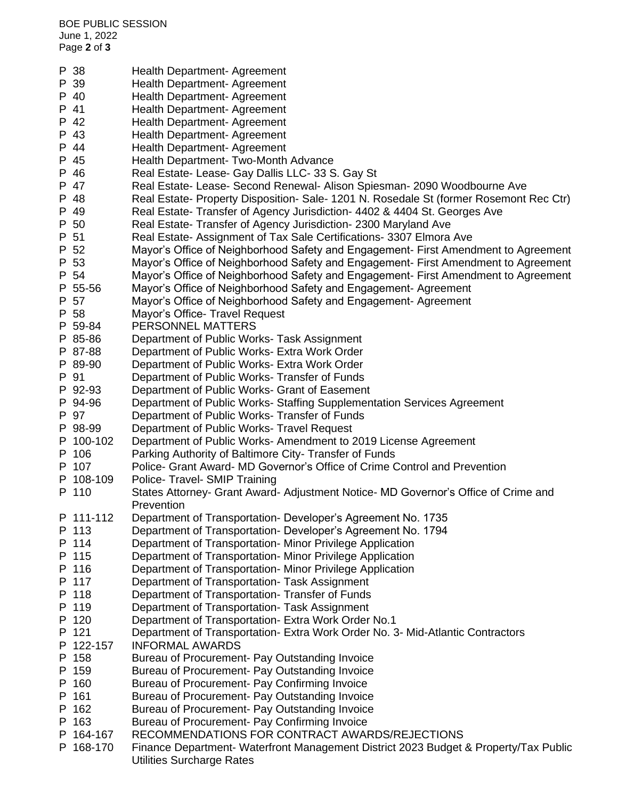BOE PUBLIC SESSION June 1, 2022 Page **2** of **3**

P 38 Health Department- Agreement P 39 Health Department- Agreement P 40 Health Department- Agreement P 41 Health Department- Agreement P 42 Health Department- Agreement P 43 Health Department- Agreement P 44 Health Department- Agreement P 45 Health Department- Two-Month Advance P 46 Real Estate- Lease- Gay Dallis LLC- 33 S. Gay St P 47 Real Estate- Lease- Second Renewal- Alison Spiesman- 2090 Woodbourne Ave P 48 Real Estate- Property Disposition- Sale- 1201 N. Rosedale St (former Rosemont Rec Ctr) P 49 Real Estate- Transfer of Agency Jurisdiction- 4402 & 4404 St. Georges Ave P 50 Real Estate- Transfer of Agency Jurisdiction- 2300 Maryland Ave P 51 Real Estate- Assignment of Tax Sale Certifications- 3307 Elmora Ave<br>P 52 Mavor's Office of Neighborhood Safety and Engagement- First Amenc Mayor's Office of Neighborhood Safety and Engagement- First Amendment to Agreement P 53 Mayor's Office of Neighborhood Safety and Engagement- First Amendment to Agreement P 54 Mayor's Office of Neighborhood Safety and Engagement- First Amendment to Agreement P 55-56 Mayor's Office of Neighborhood Safety and Engagement- Agreement P 57 Mayor's Office of Neighborhood Safety and Engagement- Agreement P 58 Mayor's Office- Travel Request P 59-84 PERSONNEL MATTERS P 85-86 Department of Public Works- Task Assignment P 87-88 Department of Public Works- Extra Work Order P 89-90 Department of Public Works- Extra Work Order P 91 Department of Public Works- Transfer of Funds P 92-93 Department of Public Works- Grant of Easement P 94-96 Department of Public Works- Staffing Supplementation Services Agreement P 97 Department of Public Works- Transfer of Funds P 98-99 Department of Public Works- Travel Request P 100-102 Department of Public Works- Amendment to 2019 License Agreement P 106 Parking Authority of Baltimore City- Transfer of Funds P 107 Police- Grant Award- MD Governor's Office of Crime Control and Prevention P 108-109 Police- Travel- SMIP Training P 110 States Attorney- Grant Award- Adjustment Notice- MD Governor's Office of Crime and **Prevention** P 111-112 Department of Transportation- Developer's Agreement No. 1735 P 113 Department of Transportation- Developer's Agreement No. 1794 P 114 Department of Transportation- Minor Privilege Application P 115 Department of Transportation- Minor Privilege Application P 116 Department of Transportation- Minor Privilege Application P 117 Department of Transportation- Task Assignment P 118 Department of Transportation- Transfer of Funds P 119 Department of Transportation- Task Assignment P 120 Department of Transportation- Extra Work Order No.1 P 121 Department of Transportation- Extra Work Order No. 3- Mid-Atlantic Contractors<br>P 122-157 INFORMAL AWARDS **INFORMAL AWARDS** P 158 Bureau of Procurement- Pay Outstanding Invoice P 159 Bureau of Procurement- Pay Outstanding Invoice P 160 Bureau of Procurement- Pay Confirming Invoice P 161 Bureau of Procurement- Pay Outstanding Invoice P 162 Bureau of Procurement- Pay Outstanding Invoice P 163 Bureau of Procurement- Pay Confirming Invoice P 164-167 RECOMMENDATIONS FOR CONTRACT AWARDS/REJECTIONS P 168-170 Finance Department- Waterfront Management District 2023 Budget & Property/Tax Public Utilities Surcharge Rates